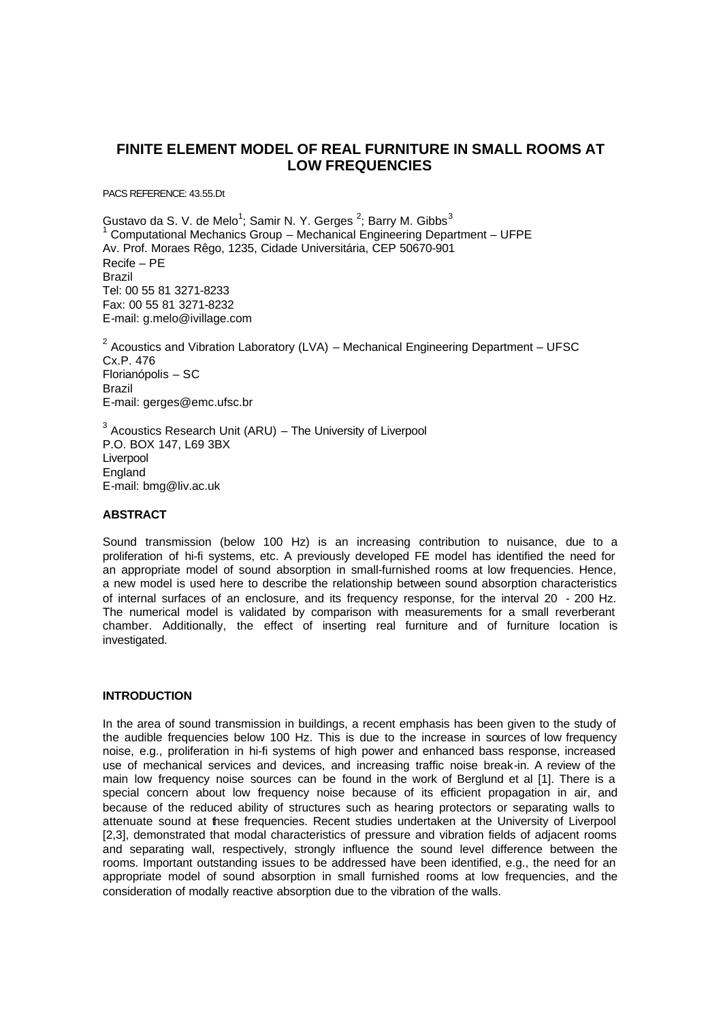# **FINITE ELEMENT MODEL OF REAL FURNITURE IN SMALL ROOMS AT LOW FREQUENCIES**

PACS REFERENCE: 43.55.Dt

Gustavo da S. V. de Melo<sup>1</sup>; Samir N. Y. Gerges <sup>2</sup>; Barry M. Gibbs<sup>3</sup> 1 Computational Mechanics Group – Mechanical Engineering Department – UFPE Av. Prof. Moraes Rêgo, 1235, Cidade Universitária, CEP 50670-901 Recife – PE Brazil Tel: 00 55 81 3271-8233 Fax: 00 55 81 3271-8232 E-mail: g.melo@ivillage.com

<sup>2</sup> Acoustics and Vibration Laboratory (LVA) – Mechanical Engineering Department – UFSC Cx.P. 476 Florianópolis – SC Brazil E-mail: gerges@emc.ufsc.br

 $3$  Acoustics Research Unit (ARU) – The University of Liverpool P.O. BOX 147, L69 3BX Liverpool England E-mail: bmg@liv.ac.uk

## **ABSTRACT**

Sound transmission (below 100 Hz) is an increasing contribution to nuisance, due to a proliferation of hi-fi systems, etc. A previously developed FE model has identified the need for an appropriate model of sound absorption in small-furnished rooms at low frequencies. Hence, a new model is used here to describe the relationship between sound absorption characteristics of internal surfaces of an enclosure, and its frequency response, for the interval 20 - 200 Hz. The numerical model is validated by comparison with measurements for a small reverberant chamber. Additionally, the effect of inserting real furniture and of furniture location is investigated.

## **INTRODUCTION**

In the area of sound transmission in buildings, a recent emphasis has been given to the study of the audible frequencies below 100 Hz. This is due to the increase in sources of low frequency noise, e.g., proliferation in hi-fi systems of high power and enhanced bass response, increased use of mechanical services and devices, and increasing traffic noise break-in. A review of the main low frequency noise sources can be found in the work of Berglund et al [1]. There is a special concern about low frequency noise because of its efficient propagation in air, and because of the reduced ability of structures such as hearing protectors or separating walls to attenuate sound at these frequencies. Recent studies undertaken at the University of Liverpool [2,3], demonstrated that modal characteristics of pressure and vibration fields of adjacent rooms and separating wall, respectively, strongly influence the sound level difference between the rooms. Important outstanding issues to be addressed have been identified, e.g., the need for an appropriate model of sound absorption in small furnished rooms at low frequencies, and the consideration of modally reactive absorption due to the vibration of the walls.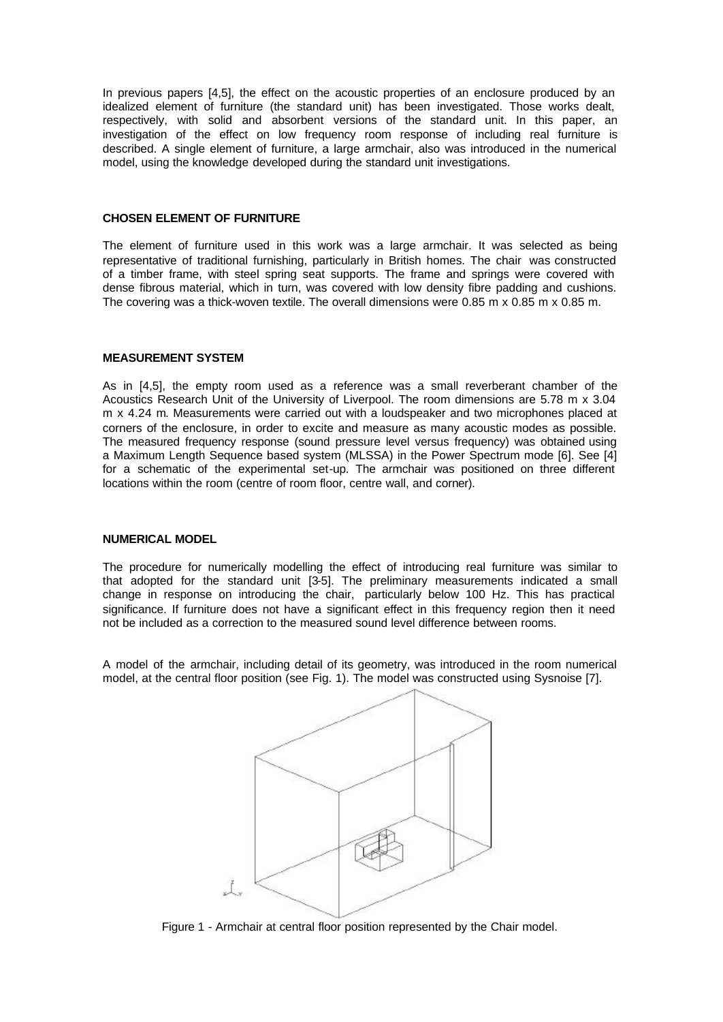In previous papers [4,5], the effect on the acoustic properties of an enclosure produced by an idealized element of furniture (the standard unit) has been investigated. Those works dealt, respectively, with solid and absorbent versions of the standard unit. In this paper, an investigation of the effect on low frequency room response of including real furniture is described. A single element of furniture, a large armchair, also was introduced in the numerical model, using the knowledge developed during the standard unit investigations.

# **CHOSEN ELEMENT OF FURNITURE**

The element of furniture used in this work was a large armchair. It was selected as being representative of traditional furnishing, particularly in British homes. The chair was constructed of a timber frame, with steel spring seat supports. The frame and springs were covered with dense fibrous material, which in turn, was covered with low density fibre padding and cushions. The covering was a thick-woven textile. The overall dimensions were 0.85 m x 0.85 m x 0.85 m.

#### **MEASUREMENT SYSTEM**

As in [4,5], the empty room used as a reference was a small reverberant chamber of the Acoustics Research Unit of the University of Liverpool. The room dimensions are 5.78 m x 3.04 m x 4.24 m. Measurements were carried out with a loudspeaker and two microphones placed at corners of the enclosure, in order to excite and measure as many acoustic modes as possible. The measured frequency response (sound pressure level versus frequency) was obtained using a Maximum Length Sequence based system (MLSSA) in the Power Spectrum mode [6]. See [4] for a schematic of the experimental set-up. The armchair was positioned on three different locations within the room (centre of room floor, centre wall, and corner).

# **NUMERICAL MODEL**

The procedure for numerically modelling the effect of introducing real furniture was similar to that adopted for the standard unit [3-5]. The preliminary measurements indicated a small change in response on introducing the chair, particularly below 100 Hz. This has practical significance. If furniture does not have a significant effect in this frequency region then it need not be included as a correction to the measured sound level difference between rooms.

A model of the armchair, including detail of its geometry, was introduced in the room numerical model, at the central floor position (see Fig. 1). The model was constructed using Sysnoise [7].



Figure 1 - Armchair at central floor position represented by the Chair model.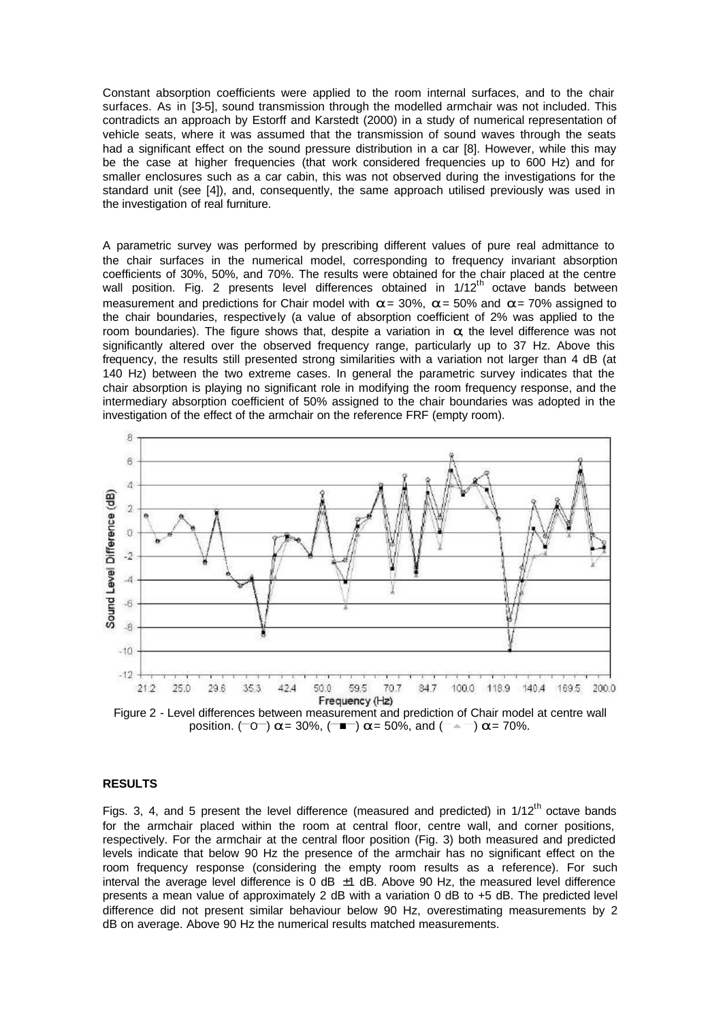Constant absorption coefficients were applied to the room internal surfaces, and to the chair surfaces. As in [3-5], sound transmission through the modelled armchair was not included. This contradicts an approach by Estorff and Karstedt (2000) in a study of numerical representation of vehicle seats, where it was assumed that the transmission of sound waves through the seats had a significant effect on the sound pressure distribution in a car [8]. However, while this may be the case at higher frequencies (that work considered frequencies up to 600 Hz) and for smaller enclosures such as a car cabin, this was not observed during the investigations for the standard unit (see [4]), and, consequently, the same approach utilised previously was used in the investigation of real furniture.

A parametric survey was performed by prescribing different values of pure real admittance to the chair surfaces in the numerical model, corresponding to frequency invariant absorption coefficients of 30%, 50%, and 70%. The results were obtained for the chair placed at the centre wall position. Fig. 2 presents level differences obtained in  $1/12<sup>th</sup>$  octave bands between measurement and predictions for Chair model with *a* = 30%, *a* = 50% and *a* = 70% assigned to the chair boundaries, respectively (a value of absorption coefficient of 2% was applied to the room boundaries). The figure shows that, despite a variation in *a*, the level difference was not significantly altered over the observed frequency range, particularly up to 37 Hz. Above this frequency, the results still presented strong similarities with a variation not larger than 4 dB (at 140 Hz) between the two extreme cases. In general the parametric survey indicates that the chair absorption is playing no significant role in modifying the room frequency response, and the intermediary absorption coefficient of 50% assigned to the chair boundaries was adopted in the investigation of the effect of the armchair on the reference FRF (empty room).



Figure 2 - Level differences between measurement and prediction of Chair model at centre wall  $\frac{1}{2}$  position. ( $\overline{0}$ )  $a = 30\%$ , ( $\overline{1}$ )  $a = 50\%$ , and ( $\overline{0}$ )  $a = 70\%$ .

# **RESULTS**

Figs. 3, 4, and 5 present the level difference (measured and predicted) in  $1/12^{th}$  octave bands for the armchair placed within the room at central floor, centre wall, and corner positions, respectively. For the armchair at the central floor position (Fig. 3) both measured and predicted levels indicate that below 90 Hz the presence of the armchair has no significant effect on the room frequency response (considering the empty room results as a reference). For such interval the average level difference is 0 dB  $\pm$ 1 dB. Above 90 Hz, the measured level difference presents a mean value of approximately 2 dB with a variation 0 dB to +5 dB. The predicted level difference did not present similar behaviour below 90 Hz, overestimating measurements by 2 dB on average. Above 90 Hz the numerical results matched measurements.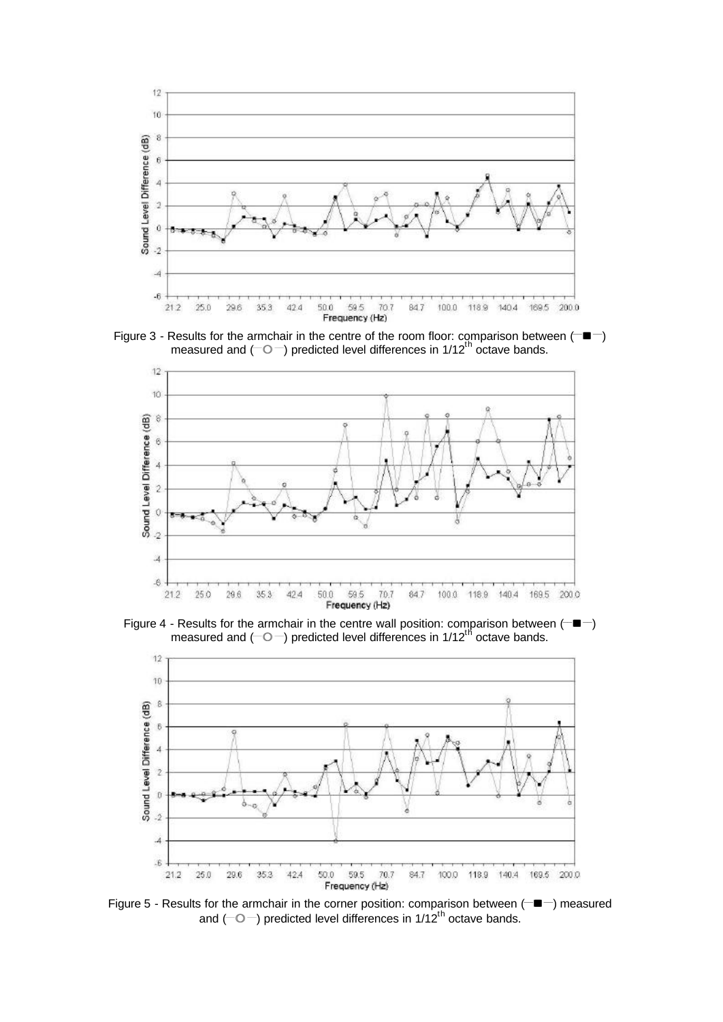

Figure 3 - Results for the armchair in the centre of the room floor: comparison between ( $\Box$ **n**) measured and  $(-0-)$  predicted level differences in 1/12<sup>th</sup> octave bands.



Figure 4 - Results for the armchair in the centre wall position: comparison between ( $\equiv$ measured and ( $\overline{\circ}$ ) predicted level differences in 1/12<sup>th</sup> octave bands.



Figure 5 - Results for the armchair in the corner position: comparison between (**\_\_n \_\_**) measured and ( $\Box$ ) predicted level differences in 1/12<sup>th</sup> octave bands.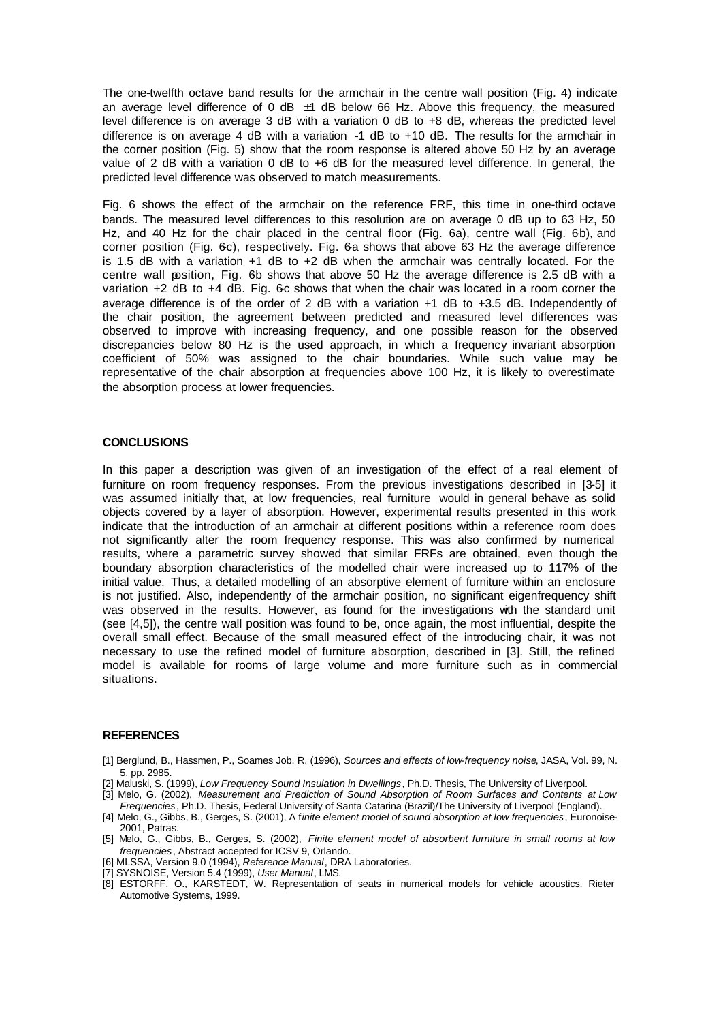The one-twelfth octave band results for the armchair in the centre wall position (Fig. 4) indicate an average level difference of 0 dB  $\pm$ 1 dB below 66 Hz. Above this frequency, the measured level difference is on average 3 dB with a variation 0 dB to +8 dB, whereas the predicted level difference is on average 4 dB with a variation -1 dB to +10 dB. The results for the armchair in the corner position (Fig. 5) show that the room response is altered above 50 Hz by an average value of 2 dB with a variation 0 dB to +6 dB for the measured level difference. In general, the predicted level difference was observed to match measurements.

Fig. 6 shows the effect of the armchair on the reference FRF, this time in one-third octave bands. The measured level differences to this resolution are on average 0 dB up to 63 Hz, 50 Hz, and 40 Hz for the chair placed in the central floor (Fig. 6a), centre wall (Fig. 6b), and corner position (Fig. 6c), respectively. Fig. 6a shows that above 63 Hz the average difference is 1.5 dB with a variation  $+1$  dB to  $+2$  dB when the armchair was centrally located. For the centre wall position, Fig. 6b shows that above 50 Hz the average difference is 2.5 dB with a variation  $+2$  dB to  $+4$  dB. Fig. 6c shows that when the chair was located in a room corner the average difference is of the order of 2 dB with a variation +1 dB to +3.5 dB. Independently of the chair position, the agreement between predicted and measured level differences was observed to improve with increasing frequency, and one possible reason for the observed discrepancies below 80 Hz is the used approach, in which a frequency invariant absorption coefficient of 50% was assigned to the chair boundaries. While such value may be representative of the chair absorption at frequencies above 100 Hz, it is likely to overestimate the absorption process at lower frequencies.

## **CONCLUSIONS**

In this paper a description was given of an investigation of the effect of a real element of furniture on room frequency responses. From the previous investigations described in [3-5] it was assumed initially that, at low frequencies, real furniture would in general behave as solid objects covered by a layer of absorption. However, experimental results presented in this work indicate that the introduction of an armchair at different positions within a reference room does not significantly alter the room frequency response. This was also confirmed by numerical results, where a parametric survey showed that similar FRFs are obtained, even though the boundary absorption characteristics of the modelled chair were increased up to 117% of the initial value. Thus, a detailed modelling of an absorptive element of furniture within an enclosure is not justified. Also, independently of the armchair position, no significant eigenfrequency shift was observed in the results. However, as found for the investigations with the standard unit (see [4,5]), the centre wall position was found to be, once again, the most influential, despite the overall small effect. Because of the small measured effect of the introducing chair, it was not necessary to use the refined model of furniture absorption, described in [3]. Still, the refined model is available for rooms of large volume and more furniture such as in commercial situations.

## **REFERENCES**

- [1] Berglund, B., Hassmen, P., Soames Job, R. (1996), *Sources and effects of low-frequency noise*, JASA, Vol. 99, N. 5, pp. 2985.
- [2] Maluski, S. (1999), *Low Frequency Sound Insulation in Dwellings*, Ph.D. Thesis, The University of Liverpool.
- [3] Melo, G. (2002), *Measurement and Prediction of Sound Absorption of Room Surfaces and Contents at Low Frequencies*, Ph.D. Thesis, Federal University of Santa Catarina (Brazil)/The University of Liverpool (England).
- [4] Melo, G., Gibbs, B., Gerges, S. (2001), A f*inite element model of sound absorption at low frequencies*, Euronoise-2001, Patras.
- [5] Melo, G., Gibbs, B., Gerges, S. (2002), *Finite element model of absorbent furniture in small rooms at low frequencies*, Abstract accepted for ICSV 9, Orlando.
- [6] MLSSA, Version 9.0 (1994), *Reference Manual*, DRA Laboratories.
- [7] SYSNOISE, Version 5.4 (1999), *User Manual*, LMS.
- [8] ESTORFF, O., KARSTEDT, W. Representation of seats in numerical models for vehicle acoustics. Rieter Automotive Systems, 1999.